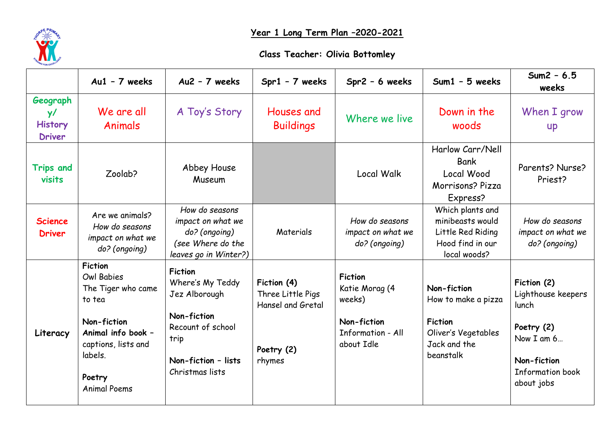

## **Year 1 Long Term Plan –2020-2021**

## **Class Teacher: Olivia Bottomley**

|                                                   | $Au1 - 7$ weeks                                                                                                                                                      | $Au2 - 7$ weeks                                                                                                                           | Spr1 - 7 weeks                                                                | Spr2 - 6 weeks                                                                               | Sum1 - 5 weeks                                                                                           | $Sum2 - 6.5$<br>weeks                                                                                                          |
|---------------------------------------------------|----------------------------------------------------------------------------------------------------------------------------------------------------------------------|-------------------------------------------------------------------------------------------------------------------------------------------|-------------------------------------------------------------------------------|----------------------------------------------------------------------------------------------|----------------------------------------------------------------------------------------------------------|--------------------------------------------------------------------------------------------------------------------------------|
| Geograph<br>y/<br><b>History</b><br><b>Driver</b> | We are all<br>Animals                                                                                                                                                | A Toy's Story                                                                                                                             | Houses and<br><b>Buildings</b>                                                | Where we live                                                                                | Down in the<br>woods                                                                                     | When I grow<br><b>up</b>                                                                                                       |
| <b>Trips and</b><br>visits                        | Zoolab?                                                                                                                                                              | Abbey House<br>Museum                                                                                                                     |                                                                               | <b>Local Walk</b>                                                                            | Harlow Carr/Nell<br><b>Bank</b><br>Local Wood<br>Morrisons? Pizza<br>Express?                            | Parents? Nurse?<br>Priest?                                                                                                     |
| <b>Science</b><br><b>Driver</b>                   | Are we animals?<br>How do seasons<br>impact on what we<br>do? (ongoing)                                                                                              | How do seasons<br>impact on what we<br>do? (ongoing)<br>(see Where do the<br>leaves go in Winter?)                                        | Materials                                                                     | How do seasons<br>impact on what we<br>do? (ongoing)                                         | Which plants and<br>minibeasts would<br>Little Red Riding<br>Hood find in our<br>local woods?            | How do seasons<br>impact on what we<br>do? (ongoing)                                                                           |
| Literacy                                          | <b>Fiction</b><br>Owl Babies<br>The Tiger who came<br>to tea<br>Non-fiction<br>Animal info book -<br>captions, lists and<br>labels.<br>Poetry<br><b>Animal Poems</b> | <b>Fiction</b><br>Where's My Teddy<br>Jez Alborough<br>Non-fiction<br>Recount of school<br>trip<br>Non-fiction - lists<br>Christmas lists | Fiction (4)<br>Three Little Pigs<br>Hansel and Gretal<br>Poetry (2)<br>rhymes | <b>Fiction</b><br>Katie Morag (4<br>weeks)<br>Non-fiction<br>Information - All<br>about Idle | Non-fiction<br>How to make a pizza<br><b>Fiction</b><br>Oliver's Vegetables<br>Jack and the<br>beanstalk | Fiction (2)<br>Lighthouse keepers<br>lunch<br>Poetry (2)<br>Now I am 6<br>Non-fiction<br><b>Information book</b><br>about jobs |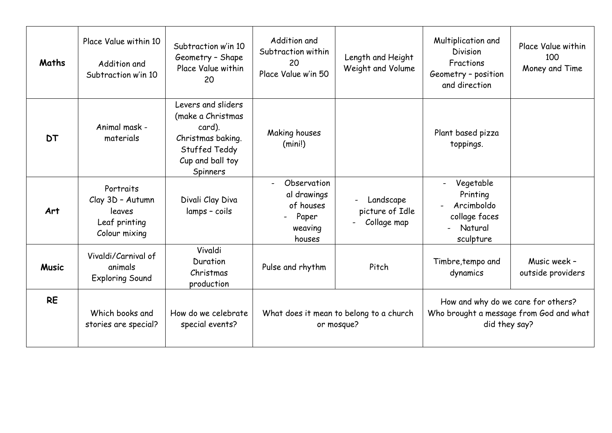| Maths        | Place Value within 10<br>Addition and<br>Subtraction w'in 10              | Subtraction w'in 10<br>Geometry - Shape<br>Place Value within<br>20                                                            | Addition and<br>Subtraction within<br>20<br>Place Value w'in 50       | Length and Height<br>Weight and Volume                                  | Multiplication and<br><b>Division</b><br>Fractions<br>Geometry - position<br>and direction     | Place Value within<br>100<br>Money and Time |
|--------------|---------------------------------------------------------------------------|--------------------------------------------------------------------------------------------------------------------------------|-----------------------------------------------------------------------|-------------------------------------------------------------------------|------------------------------------------------------------------------------------------------|---------------------------------------------|
| <b>DT</b>    | Animal mask -<br>materials                                                | Levers and sliders<br>(make a Christmas<br>card).<br>Christmas baking.<br>Stuffed Teddy<br>Cup and ball toy<br><b>Spinners</b> | Making houses<br>(min!)                                               |                                                                         | Plant based pizza<br>toppings.                                                                 |                                             |
| Art          | Portraits<br>Clay 3D - Autumn<br>leaves<br>Leaf printing<br>Colour mixing | Divali Clay Diva<br>lamps - coils                                                                                              | Observation<br>al drawings<br>of houses<br>Paper<br>weaving<br>houses | Landscape<br>$\overline{\phantom{0}}$<br>picture of Idle<br>Collage map | Vegetable<br>Printing<br>Arcimboldo<br>collage faces<br>Natural<br>sculpture                   |                                             |
| <b>Music</b> | Vivaldi/Carnival of<br>animals<br><b>Exploring Sound</b>                  | Vivaldi<br>Duration<br>Christmas<br>production                                                                                 | Pulse and rhythm                                                      | Pitch                                                                   | Timbre, tempo and<br>dynamics                                                                  | Music week -<br>outside providers           |
| <b>RE</b>    | Which books and<br>stories are special?                                   | How do we celebrate<br>special events?                                                                                         | What does it mean to belong to a church<br>or mosque?                 |                                                                         | How and why do we care for others?<br>Who brought a message from God and what<br>did they say? |                                             |